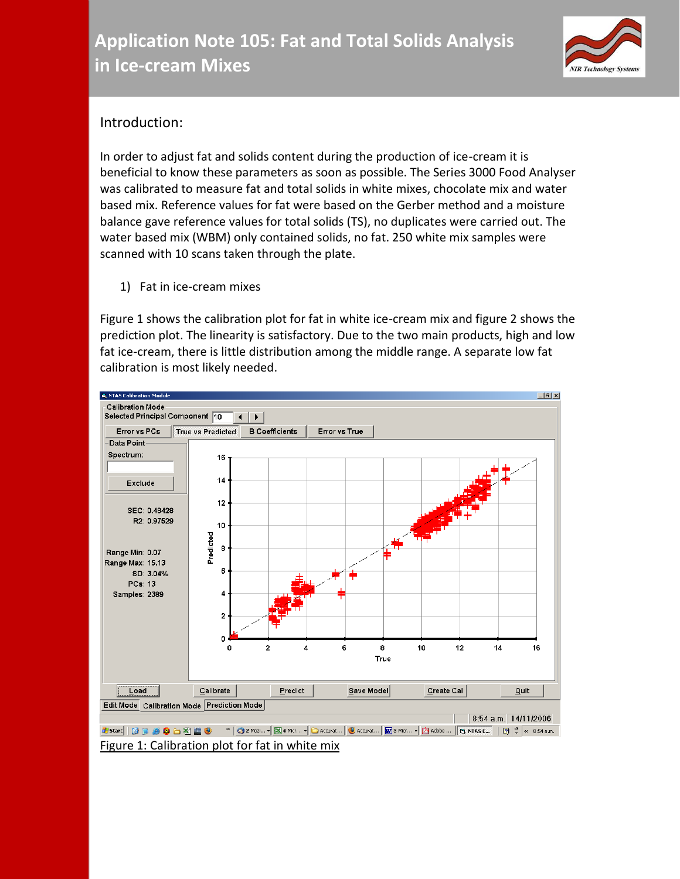

## Introduction:

In order to adjust fat and solids content during the production of ice-cream it is beneficial to know these parameters as soon as possible. The Series 3000 Food Analyser was calibrated to measure fat and total solids in white mixes, chocolate mix and water based mix. Reference values for fat were based on the Gerber method and a moisture balance gave reference values for total solids (TS), no duplicates were carried out. The water based mix (WBM) only contained solids, no fat. 250 white mix samples were scanned with 10 scans taken through the plate.

1) Fat in ice-cream mixes

Figure 1 shows the calibration plot for fat in white ice-cream mix and figure 2 shows the prediction plot. The linearity is satisfactory. Due to the two main products, high and low fat ice-cream, there is little distribution among the middle range. A separate low fat calibration is most likely needed.

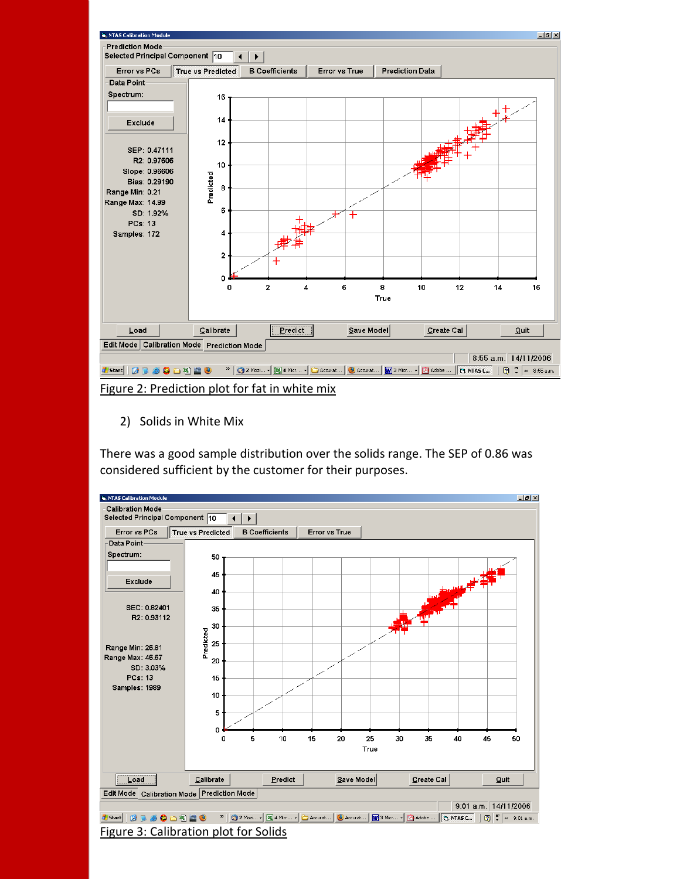

Figure 2: Prediction plot for fat in white mix

2) Solids in White Mix

There was a good sample distribution over the solids range. The SEP of 0.86 was considered sufficient by the customer for their purposes.

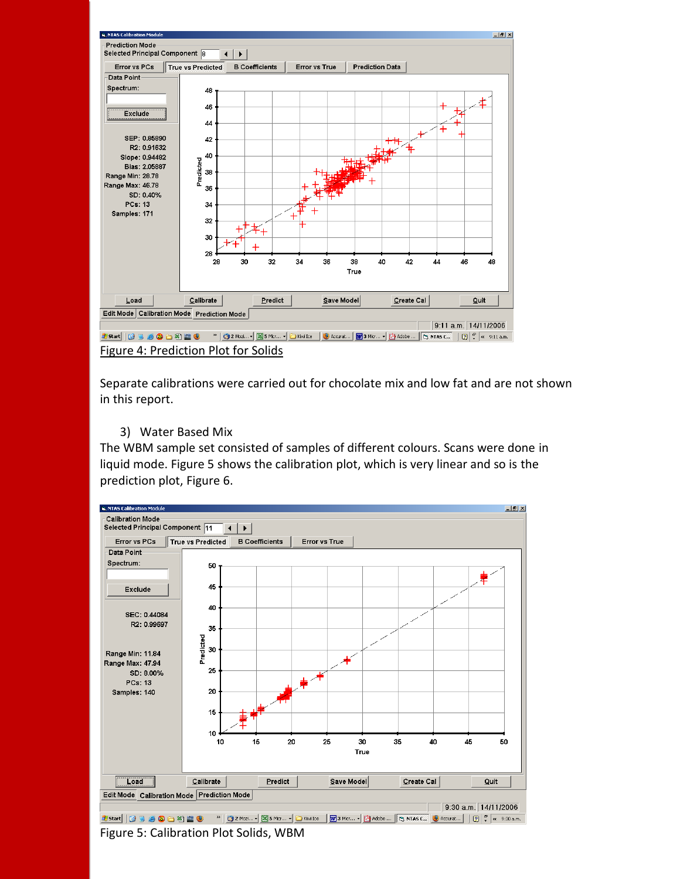

Separate calibrations were carried out for chocolate mix and low fat and are not shown in this report.

3) Water Based Mix

The WBM sample set consisted of samples of different colours. Scans were done in liquid mode. Figure 5 shows the calibration plot, which is very linear and so is the prediction plot, Figure 6.



Figure 5: Calibration Plot Solids, WBM